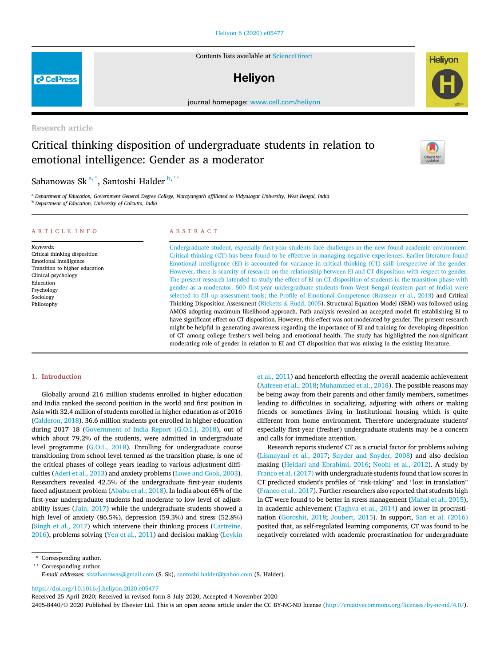# Heliyon 6 (2020) e05477

Contents lists available at ScienceDirect

# **Helivon**

journal homepage: www.cell.com/heliyon

Research article

# Critical thinking disposition of undergraduate students in relation to emotional intelligence: Gender as a moderator

Sahanowas Sk<sup>a,\*</sup>, Santoshi Halder<sup>b,\*\*</sup>

<sup>a</sup> *Department of Education, Government General Degree College, Narayangarh af*fi*liated to Vidyasagar University, West Bengal, India* <sup>b</sup> *Department of Education, University of Calcutta, India*

#### ARTICLE INFO

*Keywords:* Critical thinking disposition Emotional intelligence Transition to higher education Clinical psychology Education Psychology Sociology Philosophy

## ABSTRACT

Undergraduate student, especially first-year students face challenges in the new found academic environment. Critical thinking (CT) has been found to be effective in managing negative experiences. Earlier literature found Emotional intelligence (EI) is accounted for variance in critical thinking (CT) skill irrespective of the gender. However, there is scarcity of research on the relationship between EI and CT disposition with respect to gender. The present research intended to study the effect of EI on CT disposition of students in the transition phase with gender as a moderator. 500 first-year undergraduate students from West Bengal (eastern part of India) were selected to fill up assessment tools; the Profile of Emotional Competence (Brasseur et al., 2013) and Critical Thinking Disposition Assessment (Ricketts & Rudd, 2005). Structural Equation Model (SEM) was followed using AMOS adopting maximum likelihood approach. Path analysis revealed an accepted model fit establishing EI to have significant effect on CT disposition. However, this effect was not moderated by gender. The present research might be helpful in generating awareness regarding the importance of EI and training for developing disposition of CT among college fresher's well-being and emotional health. The study has highlighted the non-significant moderating role of gender in relation to EI and CT disposition that was missing in the existing literature.

#### 1. Introduction

Globally around 216 million students enrolled in higher education and India ranked the second position in the world and first position in Asia with 32.4 million of students enrolled in higher education as of 2016 (Calderon, 2018). 36.6 million students got enrolled in higher education during 2017–18 (Government of India Report [G.O.I.], 2018), out of which about 79.2% of the students, were admitted in undergraduate level programme (G.O.I., 2018). Enrolling for undergraduate course transitioning from school level termed as the transition phase, is one of the critical phases of college years leading to various adjustment difficulties (Aderi et al., 2013) and anxiety problems (Lowe and Cook, 2003). Researchers revealed 42.5% of the undergraduate first-year students faced adjustment problem (Ababu et al., 2018). In India about 65% of the first-year undergraduate students had moderate to low level of adjustability issues (Jain, 2017) while the undergraduate students showed a high level of anxiety (86.5%), depression (59.3%) and stress (52.8%) (Singh et al., 2017) which intervene their thinking process (Cartreine, 2016), problems solving (Yen et al., 2011) and decision making (Leykin

et al., 2011) and henceforth effecting the overall academic achievement (Aafreen et al., 2018; Muhammed et al., 2018). The possible reasons may be being away from their parents and other family members, sometimes leading to difficulties in socializing, adjusting with others or making friends or sometimes living in Institutional housing which is quite different from home environment. Therefore undergraduate students' especially first-year (fresher) undergraduate students may be a concern and calls for immediate attention.

Research reports students' CT as a crucial factor for problems solving (Lismayani et al., 2017; Snyder and Snyder, 2008) and also decision making (Heidari and Ebrahimi, 2016; Noohi et al., 2012). A study by Franco et al. (2017) with undergraduate students found that low scores in CT predicted student's profiles of "risk-taking" and "lost in translation" (Franco et al., 2017). Further researchers also reported that students high in CT were found to be better in stress management (Mahal et al., 2015), in academic achievement (Taghva et al., 2014) and lower in procrastination (Goroshit, 2018; Joubert, 2015). In support, San et al. (2016) posited that, as self-regulated learning components, CT was found to be negatively correlated with academic procrastination for undergraduate

https://doi.org/10.1016/j.heliyon.2020.e05477

Received 25 April 2020; Received in revised form 8 July 2020; Accepted 4 November 2020

2405-8440/© 2020 Published by Elsevier Ltd. This is an open access article under the CC BY-NC-ND license (http://creativecommons.org/licenses/by-nc-nd/4.0/).





**P** CellPress

<sup>\*</sup> Corresponding author.

<sup>\*\*</sup> Corresponding author.

*E-mail addresses:* sksahanowas@gmail.com (S. Sk), santoshi\_halder@yahoo.com (S. Halder).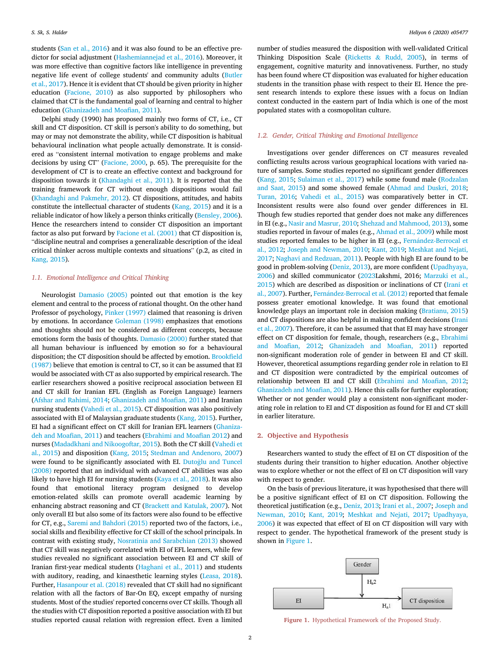students (San et al., 2016) and it was also found to be an effective predictor for social adjustment (Hashemiannejad et al., 2016). Moreover, it was more effective than cognitive factors like intelligence in preventing negative life event of college students' and community adults (Butler et al., 2017). Hence it is evident that CT should be given priority in higher education (Facione, 2010) as also supported by philosophers who claimed that CT is the fundamental goal of learning and central to higher education (Ghanizadeh and Moafian, 2011).

Delphi study (1990) has proposed mainly two forms of CT, i.e., CT skill and CT disposition. CT skill is person's ability to do something, but may or may not demonstrate the ability, while CT disposition is habitual behavioural inclination what people actually demonstrate. It is considered as "consistent internal motivation to engage problems and make decisions by using CT" (Facione, 2000, p. 65). The prerequisite for the development of CT is to create an effective context and background for disposition towards it (Khandaghi et al., 2011). It is reported that the training framework for CT without enough dispositions would fail (Khandaghi and Pakmehr, 2012). CT dispositions, attitudes, and habits constitute the intellectual character of students (Kang, 2015) and it is a reliable indicator of how likely a person thinks critically (Bensley, 2006). Hence the researchers intend to consider CT disposition an important factor as also put forward by Facione et al. (2001) that CT disposition is, "discipline neutral and comprises a generalizable description of the ideal critical thinker across multiple contexts and situations" (p.2, as cited in Kang, 2015).

# *1.1. Emotional Intelligence and Critical Thinking*

Neurologist Damasio (2005) pointed out that emotion is the key element and central to the process of rational thought. On the other hand Professor of psychology, Pinker (1997) claimed that reasoning is driven by emotions. In accordance Goleman (1998) emphasizes that emotions and thoughts should not be considered as different concepts, because emotions form the basis of thoughts. Damasio (2000) further stated that all human behaviour is influenced by emotion so for a behavioural disposition; the CT disposition should be affected by emotion. Brookfield (1987) believe that emotion is central to CT, so it can be assumed that EI would be associated with CT as also supported by empirical research. The earlier researchers showed a positive reciprocal association between EI and CT skill for Iranian EFL (English as Foreign Language) learners (Afshar and Rahimi, 2014; Ghanizadeh and Moafian, 2011) and Iranian nursing students (Vahedi et al., 2015). CT disposition was also positively associated with EI of Malaysian graduate students (Kang, 2015). Further, EI had a significant effect on CT skill for Iranian EFL learners (Ghanizadeh and Moafian, 2011) and teachers (Ebrahimi and Moafian 2012) and nurses (Madadkhani and Nikoogoftar, 2015). Both the CT skill (Vahedi et al., 2015) and disposition (Kang, 2015; Stedman and Andenoro, 2007) were found to be significantly associated with EI. Dutoğlu and Tuncel (2008) reported that an individual with advanced CT abilities was also likely to have high EI for nursing students (Kaya et al., 2018). It was also found that emotional literacy program designed to develop emotion-related skills can promote overall academic learning by enhancing abstract reasoning and CT (Brackett and Katulak, 2007). Not only overall EI but also some of its factors were also found to be effective for CT, e.g., Saremi and Bahdori (2015) reported two of the factors, i.e., social skills and flexibility effective for CT skill of the school principals. In contrast with existing study, Nosratinia and Sarabchian (2013) showed that CT skill was negatively correlated with EI of EFL learners, while few studies revealed no significant association between EI and CT skill of Iranian first-year medical students (Haghani et al., 2011) and students with auditory, reading, and kinaesthetic learning styles (Leasa, 2018). Further, Hasanpour et al. (2018) revealed that CT skill had no significant relation with all the factors of Bar-On EQ, except empathy of nursing students. Most of the studies' reported concerns over CT skills. Though all the studies with CT disposition reported a positive association with EI but studies reported causal relation with regression effect. Even a limited

number of studies measured the disposition with well-validated Critical Thinking Disposition Scale (Ricketts & Rudd, 2005), in terms of engagement, cognitive maturity and innovativeness. Further, no study has been found where CT disposition was evaluated for higher education students in the transition phase with respect to their EI. Hence the present research intends to explore these issues with a focus on Indian context conducted in the eastern part of India which is one of the most populated states with a cosmopolitan culture.

#### *1.2. Gender, Critical Thinking and Emotional Intelligence*

Investigations over gender differences on CT measures revealed conflicting results across various geographical locations with varied nature of samples. Some studies reported no significant gender differences (Kang, 2015; Sulaiman et al., 2017) while some found male (Rodzalan and Saat, 2015) and some showed female (Ahmad and Duskri, 2018; Turan, 2016; Vahedi et al., 2015) was comparatively better in CT. Inconsistent results were also found over gender differences in EI. Though few studies reported that gender does not make any differences in EI (e.g., Nasir and Masrur, 2010; Shehzad and Mahmood, 2013), some studies reported in favour of males (e.g., Ahmad et al., 2009) while most studies reported females to be higher in EI (e.g., Fernández-Berrocal et al., 2012; Joseph and Newman, 2010; Kant, 2019; Meshkat and Nejati, 2017; Naghavi and Redzuan, 2011). People with high EI are found to be good in problem-solving (Deniz, 2013), are more confident (Upadhyaya, 2006) and skilled communicator (2023Lakshmi, 2016; Marzuki et al., 2015) which are described as disposition or inclinations of CT (Irani et al., 2007). Further, Fernández-Berrocal et al. (2012) reported that female possess greater emotional knowledge. It was found that emotional knowledge plays an important role in decision making (Bratianu, 2015) and CT dispositions are also helpful in making confident decisions (Irani et al., 2007). Therefore, it can be assumed that that EI may have stronger effect on CT disposition for female, though, researchers (e.g., Ebrahimi and Moafian, 2012; Ghanizadeh and Moafian, 2011) reported non-significant moderation role of gender in between EI and CT skill. However, theoretical assumptions regarding gender role in relation to EI and CT disposition were contradicted by the empirical outcomes of relationship between EI and CT skill (Ebrahimi and Moafian, 2012; Ghanizadeh and Moafian, 2011). Hence this calls for further exploration; Whether or not gender would play a consistent non-significant moderating role in relation to EI and CT disposition as found for EI and CT skill in earlier literature.

#### 2. Objective and Hypothesis

Researchers wanted to study the effect of EI on CT disposition of the students during their transition to higher education. Another objective was to explore whether or not the effect of EI on CT disposition will vary with respect to gender.

On the basis of previous literature, it was hypothesised that there will be a positive significant effect of EI on CT disposition. Following the theoretical justification (e.g., Deniz, 2013; Irani et al., 2007; Joseph and Newman, 2010; Kant, 2019; Meshkat and Nejati, 2017; Upadhyaya, 2006) it was expected that effect of EI on CT disposition will vary with respect to gender. The hypothetical framework of the present study is shown in Figure 1.



Figure 1. Hypothetical Framework of the Proposed Study.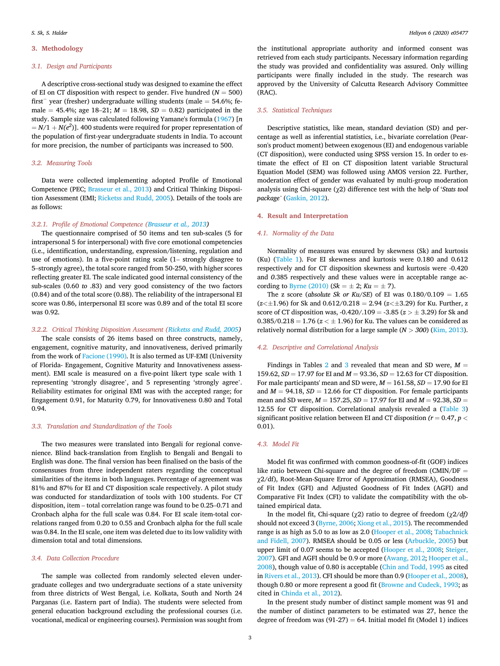# 3. Methodology

#### *3.1. Design and Participants*

A descriptive cross-sectional study was designed to examine the effect of EI on CT disposition with respect to gender. Five hundred  $(N = 500)$ first<sup>-</sup> year (fresher) undergraduate willing students (male  $=$  54.6%; female = 45.4%; age 18–21;  $M = 18.98$ ,  $SD = 0.82$ ) participated in the study. Sample size was calculated following Yamane's formula (1967) [*n*  $N = N/1 + N(e^2)$ ]. 400 students were required for proper representation of the population of first-year undergraduate students in India. To account for more precision, the number of participants was increased to 500.

#### *3.2. Measuring Tools*

Data were collected implementing adopted Profile of Emotional Competence (PEC; Brasseur et al., 2013) and Critical Thinking Disposition Assessment (EMI; Ricketss and Rudd, 2005). Details of the tools are as follows:

# *3.2.1. Pro*fi*le of Emotional Competence (Brasseur et al., 2013)*

The questionnaire comprised of 50 items and ten sub-scales (5 for intrapersonal 5 for interpersonal) with five core emotional competencies (i.e., identification, understanding, expression/listening, regulation and use of emotions). In a five-point rating scale (1– strongly disagree to 5–strongly agree), the total score ranged from 50-250, with higher scores reflecting greater EI. The scale indicated good internal consistency of the sub-scales (0.60 *to* .83) and very good consistency of the two factors (0.84) and of the total score (0.88). The reliability of the intrapersonal EI score was 0.86, interpersonal EI score was 0.89 and of the total EI score was 0.92.

#### *3.2.2. Critical Thinking Disposition Assessment (Ricketss and Rudd, 2005)*

The scale consists of 26 items based on three constructs, namely, engagement, cognitive maturity, and innovativeness, derived primarily from the work of Facione (1990). It is also termed as UF-EMI (University of Florida- Engagement, Cognitive Maturity and Innovativeness assessment). EMI scale is measured on a five-point likert type scale with 1 representing 'strongly disagree', and 5 representing 'strongly agree'. Reliability estimates for original EMI was with the accepted range; for Engagement 0.91, for Maturity 0.79, for Innovativeness 0.80 and Total 0.94.

#### *3.3. Translation and Standardization of the Tools*

The two measures were translated into Bengali for regional convenience. Blind back-translation from English to Bengali and Bengali to English was done. The final version has been finalised on the basis of the consensuses from three independent raters regarding the conceptual similarities of the items in both languages. Percentage of agreement was 81% and 87% for EI and CT disposition scale respectively. A pilot study was conducted for standardization of tools with 100 students. For CT disposition, item – total correlation range was found to be 0.25–0.71 and Cronbach alpha for the full scale was 0.84. For EI scale item-total correlations ranged from 0.20 to 0.55 and Cronbach alpha for the full scale was 0.84. In the EI scale, one item was deleted due to its low validity with dimension total and total dimensions.

#### *3.4. Data Collection Procedure*

The sample was collected from randomly selected eleven undergraduate colleges and two undergraduate sections of a state university from three districts of West Bengal, i.e. Kolkata, South and North 24 Parganas (i.e. Eastern part of India). The students were selected from general education background excluding the professional courses (i.e. vocational, medical or engineering courses). Permission was sought from

the institutional appropriate authority and informed consent was retrieved from each study participants. Necessary information regarding the study was provided and confidentiality was assured. Only willing participants were finally included in the study. The research was approved by the University of Calcutta Research Advisory Committee (RAC).

#### *3.5. Statistical Techniques*

Descriptive statistics, like mean, standard deviation (SD) and percentage as well as inferential statistics, i.e., bivariate correlation (Pearson's product moment) between exogenous (EI) and endogenous variable (CT disposition), were conducted using SPSS version 15. In order to estimate the effect of EI on CT disposition latent variable Structural Equation Model (SEM) was followed using AMOS version 22. Further, moderation effect of gender was evaluated by multi-group moderation analysis using Chi-square (χ2) difference test with the help of '*Stats tool package*' (Gaskin, 2012).

# 4. Result and Interpretation

#### *4.1. Normality of the Data*

Normality of measures was ensured by skewness (Sk) and kurtosis (Ku) (Table 1). For EI skewness and kurtosis were 0.180 and 0.612 respectively and for CT disposition skewness and kurtosis were *-*0.420 and *0*.385 respectively and these values were in acceptable range according to Byrne (2010) ( $Sk = \pm 2$ ;  $Ku = \pm 7$ ).

The z score (*absolute Sk or Ku/SE*) of EI was  $0.180/0.109 = 1.65$  $(z<\pm 1.96)$  for Sk and  $0.612/0.218 = 2.94 (z<\pm 3.29)$  for Ku. Further, z score of CT disposition was,  $-0.420/0.109 = -3.85$  ( $z > \pm 3.29$ ) for Sk and 0.385/0.218 =  $1.76$  ( $z < \pm 1.96$ ) for Ku. The values can be considered as relatively normal distribution for a large sample  $(N > 300)$  (Kim, 2013).

#### *4.2. Descriptive and Correlational Analysis*

Findings in Tables 2 and 3 revealed that mean and SD were,  $M =$ 159.62,  $SD = 17.97$  for EI and  $M = 93.36$ ,  $SD = 12.63$  for CT disposition. For male participants' mean and SD were,  $M = 161.58$ ,  $SD = 17.90$  for EI and  $M = 94.18$ ,  $SD = 12.66$  for CT disposition. For female participants mean and SD were,  $M = 157.25$ ,  $SD = 17.97$  for EI and  $M = 92.38$ ,  $SD =$ 12.55 for CT disposition. Correlational analysis revealed a (Table 3) significant positive relation between EI and CT disposition  $(r = 0.47, p <$ 0.01).

#### *4.3. Model Fit*

Model fit was confirmed with common goodness-of-fit (GOF) indices like ratio between Chi-square and the degree of freedom (CMIN/DF  $=$ χ2/df), Root-Mean-Square Error of Approximation (RMSEA), Goodness of Fit Index (GFI) and Adjusted Goodness of Fit Index (AGFI) and Comparative Fit Index (CFI) to validate the compatibility with the obtained empirical data.

In the model fit, Chi-square (χ2) ratio to degree of freedom (χ2*/df)* should not exceed 3 (Byrne, 2006; Xiong et al., 2015). The recommended range is as high as 5.0 to as low as 2.0 (Hooper et al., 2008; Tabachnick and Fidell, 2007). RMSEA should be 0.05 or less (Arbuckle, 2005) but upper limit of 0.07 seems to be accepted (Hooper et al., 2008; Steiger, 2007). GFI and AGFI should be 0.9 or more (Awang, 2012; Hooper et al., 2008), though value of 0.80 is acceptable (Chin and Todd, 1995 as cited in Rivers et al., 2013). CFI should be more than 0.9 (Hooper et al., 2008), though 0.80 or more represent a good fit (Browne and Cudeck, 1993; as cited in Chinda et al., 2012).

In the present study number of distinct sample moment was 91 and the number of distinct parameters to be estimated was 27, hence the degree of freedom was  $(91-27) = 64$ . Initial model fit (Model 1) indices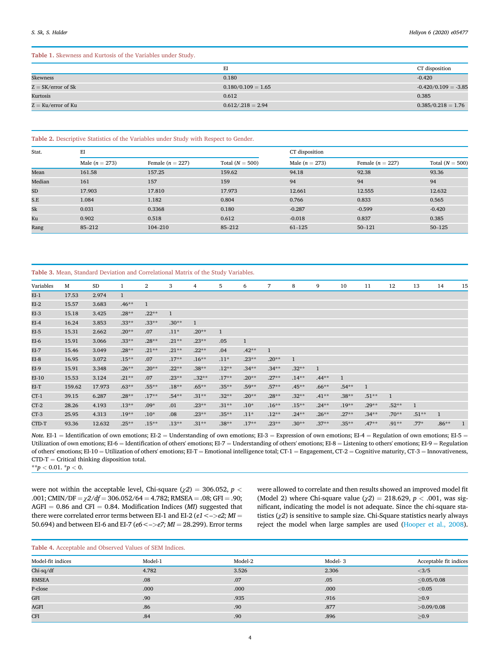# Table 1. Skewness and Kurtosis of the Variables under Study.

|                      | EI                   | CT disposition         |
|----------------------|----------------------|------------------------|
| Skewness             | 0.180                | $-0.420$               |
| $Z = SK/error$ of Sk | $0.180/0.109 = 1.65$ | $-0.420/0.109 = -3.85$ |
| Kurtosis             | 0.612                | 0.385                  |
| $Z = Ku/error$ of Ku | $0.612/0.218 = 2.94$ | $0.385/0.218 = 1.76$   |

#### Table 2. Descriptive Statistics of the Variables under Study with Respect to Gender.

| Stat.  | EI               |                    |                   | CT disposition   |                    |                   |  |
|--------|------------------|--------------------|-------------------|------------------|--------------------|-------------------|--|
|        | Male $(n = 273)$ | Female $(n = 227)$ | Total $(N = 500)$ | Male $(n = 273)$ | Female $(n = 227)$ | Total $(N = 500)$ |  |
| Mean   | 161.58           | 157.25             | 159.62            | 94.18            | 92.38              | 93.36             |  |
| Median | 161              | 157                | 159               | 94               | 94                 | 94                |  |
| SD     | 17.903           | 17.810             | 17.973            | 12.661           | 12.555             | 12.632            |  |
| S.E    | 1.084            | 1.182              | 0.804             | 0.766            | 0.833              | 0.565             |  |
| Sk     | 0.031            | 0.3368             | 0.180             | $-0.287$         | $-0.599$           | $-0.420$          |  |
| Ku     | 0.902            | 0.518              | 0.612             | $-0.018$         | 0.837              | 0.385             |  |
| Rang   | $85 - 212$       | $104 - 210$        | 85-212            | $61 - 125$       | $50 - 121$         | $50 - 125$        |  |

Table 3. Mean, Standard Deviation and Correlational Matrix of the Study Variables.

| Variables | M      | SD     | 1            | $\overline{2}$ | 3            | 4            | 5            | 6            | 7            | 8            | 9            | 10           | 11           | 12           | 13             | 14           | 15 |
|-----------|--------|--------|--------------|----------------|--------------|--------------|--------------|--------------|--------------|--------------|--------------|--------------|--------------|--------------|----------------|--------------|----|
| $EI-1$    | 17.53  | 2.974  | $\mathbf{1}$ |                |              |              |              |              |              |              |              |              |              |              |                |              |    |
| $EI-2$    | 15.57  | 3.683  | $.46***$     | $\mathbf{1}$   |              |              |              |              |              |              |              |              |              |              |                |              |    |
| $EI-3$    | 15.18  | 3.425  | $.28**$      | $.22**$        | $\mathbf{1}$ |              |              |              |              |              |              |              |              |              |                |              |    |
| $EI-4$    | 16.24  | 3.853  | $.33**$      | $.33**$        | $.30**$      | $\mathbf{1}$ |              |              |              |              |              |              |              |              |                |              |    |
| $EI-5$    | 15.31  | 2.662  | $.20**$      | .07            | $.11*$       | $.20**$      | $\mathbf{1}$ |              |              |              |              |              |              |              |                |              |    |
| EI-6      | 15.91  | 3.066  | $.33**$      | $.28**$        | $.21**$      | $.23**$      | .05          | $\mathbf{1}$ |              |              |              |              |              |              |                |              |    |
| $EI-7$    | 15.46  | 3.049  | $.28**$      | $.21**$        | $.21**$      | $.22**$      | .04          | $.42**$      | $\mathbf{1}$ |              |              |              |              |              |                |              |    |
| EI-8      | 16.95  | 3.072  | $.15***$     | .07            | $.17**$      | $.16***$     | $.11*$       | $.23**$      | $.20**$      | $\mathbf{1}$ |              |              |              |              |                |              |    |
| $EI-9$    | 15.91  | 3.348  | $.26**$      | $.20**$        | $.22**$      | $.38**$      | $.12**$      | $.34***$     | $.34***$     | $.32**$      | $\mathbf{1}$ |              |              |              |                |              |    |
| EI-10     | 15.53  | 3.124  | $.21**$      | .07            | $.23**$      | $.32**$      | $.17**$      | $.20**$      | $.27**$      | $.14***$     | $.44***$     | $\mathbf{1}$ |              |              |                |              |    |
| EI-T      | 159.62 | 17.973 | $.63***$     | $.55***$       | $.18**$      | $.65***$     | $.35**$      | $.59**$      | $.57**$      | $.45**$      | $.66***$     | $.54***$     | $\mathbf{1}$ |              |                |              |    |
| $CT-1$    | 39.15  | 6.287  | $.28**$      | $.17**$        | $.54**$      | $.31***$     | $.32**$      | $.20**$      | $.28**$      | $.32**$      | $.41***$     | $.38**$      | $.51***$     | $\mathbf{1}$ |                |              |    |
| $CT-2$    | 28.26  | 4.193  | $.13**$      | $.09*$         | .01          | $.23**$      | $.31**$      | $.10*$       | $.16***$     | $.15***$     | $.24***$     | $.19**$      | $.29**$      | $.52**$      | $\overline{1}$ |              |    |
| $CT-3$    | 25.95  | 4.313  | $.19**$      | $.10*$         | .08          | $.23**$      | $.35**$      | $.11*$       | $.12**$      | $.24***$     | $.26***$     | $.27**$      | $.34***$     | $.70**$      | $.51**$        | $\mathbf{1}$ |    |
| CTD-T     | 93.36  | 12.632 | $.25**$      | $.15***$       | $.13**$      | $.31**$      | $.38**$      | $.17**$      | $.23**$      | $.30**$      | $.37**$      | $.35***$     | $.47**$      | $.91**$      | $.77*$         | $.86***$     |    |

*Note.* EI-1 = Identification of own emotions; EI-2 = Understanding of own emotions; EI-3 = Expression of own emotions; EI-4 = Regulation of own emotions; EI-5 = Utilization of own emotions; EI-6 = Identification of others' emotions; EI-7 = Understanding of others' emotions; EI-8 = Listening to others' emotions; EI-9 = Regulation of others' emotions; EI-10 = Utilization of others' emotions; EI-T = Emotional intelligence total; CT-1 = Engagement, CT-2 = Cognitive maturity, CT-3 = Innovativeness,  $CTD-T = Critical$  thinking disposition total.

\*\**p* < 0.01. \**p* < 0.

were not within the acceptable level, Chi-square ( $\chi$ 2) = 306.052, *p* < .001; CMIN/DF =  $\chi$ 2/df = 306.052/64 = 4.782; RMSEA = .08; GFI = .90;  $AGFI = 0.86$  and CFI = 0.84. Modification Indices (*MI*) suggested that there were correlated error terms between EI-1 and EI-2 ( $e1 < -> e2$ ; MI = 50.694) and between EI-6 and EI-7 ( $e6 <$  -> $e7$ ; MI = 28.299). Error terms were allowed to correlate and then results showed an improved model fit (Model 2) where Chi-square value  $(\chi 2) = 218.629$ ,  $p < .001$ , was significant, indicating the model is not adequate. Since the chi-square statistics (χ*2*) is sensitive to sample size. Chi-Square statistics nearly always reject the model when large samples are used (Hooper et al., 2008).

# Table 4. Acceptable and Observed Values of SEM Indices.

| Model-fit indices | Model-1 | Model-2 | Model-3 | Acceptable fit indices |
|-------------------|---------|---------|---------|------------------------|
| Chi-sq/df         | 4.782   | 3.526   | 2.306   | <3/5                   |
| <b>RMSEA</b>      | .08     | .07     | .05     | $\leq$ 0.05/0.08       |
| P-close           | .000    | .000    | .000    | < 0.05                 |
| GFI               | .90     | .935    | .916    | $\geq 0.9$             |
| <b>AGFI</b>       | .86     | .90     | .877    | >0.09/0.08             |
| <b>CFI</b>        | .84     | .90     | .896    | $\geq 0.9$             |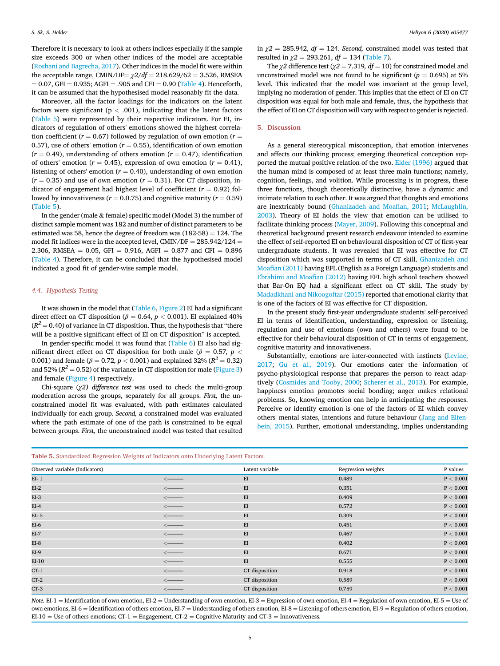Therefore it is necessary to look at others indices especially if the sample size exceeds 300 or when other indices of the model are acceptable (Roshani and Bagrecha, 2017). Other indices in the model fit were within the acceptable range, CMIN/DF= $\chi$ 2/df = 218.629/62 = 3.526, RMSEA  $= 0.07$ , GFI  $= 0.935$ ; AGFI  $= .905$  and CFI  $= 0.90$  (Table 4). Henceforth, it can be assumed that the hypothesised model reasonably fit the data.

Moreover, all the factor loadings for the indicators on the latent factors were significant ( $p < .001$ ), indicating that the latent factors (Table 5) were represented by their respective indicators. For EI, indicators of regulation of others' emotions showed the highest correlation coefficient ( $r = 0.67$ ) followed by regulation of own emotion ( $r =$ 0.57), use of others' emotion ( $r = 0.55$ ), identification of own emotion  $(r = 0.49)$ , understanding of others emotion  $(r = 0.47)$ , identification of others' emotion ( $r = 0.45$ ), expression of own emotion ( $r = 0.41$ ), listening of others' emotion ( $r = 0.40$ ), understanding of own emotion  $(r = 0.35)$  and use of own emotion  $(r = 0.31)$ . For CT disposition, indicator of engagement had highest level of coefficient  $(r = 0.92)$  followed by innovativeness ( $r = 0.0.75$ ) and cognitive maturity ( $r = 0.59$ ) (Table 5).

In the gender (male  $&$  female) specific model (Model 3) the number of distinct sample moment was 182 and number of distinct parameters to be estimated was 58, hence the degree of freedom was  $(182-58) = 124$ . The model fit indices were in the accepted level, CMIN/DF =  $285.942/124$  = 2.306, RMSEA = 0.05, GFI = 0.916, AGFI = 0.877 and CFI = 0.896 (Table 4). Therefore, it can be concluded that the hypothesised model indicated a good fit of gender-wise sample model.

#### *4.4. Hypothesis Testing*

It was shown in the model that (Table 6, Figure 2) EI had a significant direct effect on CT disposition ( $\beta = 0.64$ ,  $p < 0.001$ ). EI explained 40%  $(R^2$  = 0.40) of variance in CT disposition. Thus, the hypothesis that "there will be a positive significant effect of EI on CT disposition" is accepted.

In gender-specific model it was found that (Table 6) EI also had significant direct effect on CT disposition for both male ( $\beta$  = 0.57*, p* < 0.001) and female ( $\beta = 0.72, \, p < 0.001$ ) and explained 32% ( $R^2 = 0.32$ ) and 52% ( $R^2$   $=$  0.52) of the variance in CT disposition for male (Figure 3) and female (Figure 4) respectively.

Chi-square (χ*2) difference test* was used to check the multi-group moderation across the groups, separately for all groups. *First,* the unconstrained model fit was evaluated, with path estimates calculated individually for each group. *Second,* a constrained model was evaluated where the path estimate of one of the path is constrained to be equal between groups. *First,* the unconstrained model was tested that resulted in  $\gamma$ 2 = 285.942, *df* = 124. *Second*, constrained model was tested that resulted in  $\chi$ 2 = 293.261, *df* = 134 (Table 7).

The  $\chi$ 2 difference test ( $\chi$ 2 = 7.319*, df* = 10) for constrained model and unconstrained model was not found to be significant ( $p = 0.695$ ) at 5% level. This indicated that the model was invariant at the group level, implying no moderation of gender. This implies that the effect of EI on CT disposition was equal for both male and female, thus, the hypothesis that the effect of EI on CT disposition will vary with respect to gender is rejected.

#### 5. Discussion

As a general stereotypical misconception, that emotion intervenes and affects our thinking process; emerging theoretical conception supported the mutual positive relation of the two. Elder (1996) argued that the human mind is composed of at least three main functions; namely, cognition, feelings, and volition. While processing is in progress, these three functions, though theoretically distinctive, have a dynamic and intimate relation to each other. It was argued that thoughts and emotions are inextricably bound (Ghanizadeh and Moafian, 2011; McLaughlin, 2003). Theory of EI holds the view that emotion can be utilised to facilitate thinking process (Mayer, 2009). Following this conceptual and theoretical background present research endeavour intended to examine the effect of self-reported EI on behavioural disposition of CT of first-year undergraduate students. It was revealed that EI was effective for CT disposition which was supported in terms of CT skill. Ghanizadeh and Moafian (2011) having EFL (English as a Foreign Language) students and Ebrahimi and Moafian (2012) having EFL high school teachers showed that Bar-On EQ had a significant effect on CT skill. The study by Madadkhani and Nikoogoftar (2015) reported that emotional clarity that is one of the factors of EI was effective for CT disposition.

In the present study first-year undergraduate students' self-perceived EI in terms of identification, understanding, expression or listening, regulation and use of emotions (own and others) were found to be effective for their behavioural disposition of CT in terms of engagement, cognitive maturity and innovativeness.

Substantially, emotions are inter-connected with instincts (Levine, 2017; Gu et al., 2019). Our emotions cater the information of psycho-physiological response that prepares the person to react adaptively (Cosmides and Tooby, 2000; Scherer et al., 2013). For example, happiness emotion promotes social bonding; anger makes relational problems. So, knowing emotion can help in anticipating the responses. Perceive or identify emotion is one of the factors of EI which convey others' mental states, intentions and future behaviour (Jang and Elfenbein, 2015). Further, emotional understanding, implies understanding

| Table 5. Standardized Regression Weights of Indicators onto Underlying Latent Factors. |  |
|----------------------------------------------------------------------------------------|--|
|----------------------------------------------------------------------------------------|--|

| Observed variable (Indicators) |                                           | Latent variable | Regression weights | P values        |
|--------------------------------|-------------------------------------------|-----------------|--------------------|-----------------|
| $EI-1$                         | $\longleftarrow$                          | EI              | 0.489              | P < 0.001       |
| $EI-2$                         | $\overline{\phantom{a}}$                  | EI              | 0.351              | P < 0.001       |
| $EI-3$                         | $\longleftarrow$                          | EI              | 0.409              | P < 0.001       |
| $EI-4$                         | $\overline{\phantom{a}}$                  | EI              | 0.572              | P < 0.001       |
| $EI-5$                         | $\longleftarrow$                          | EI              | 0.309              | P < 0.001       |
| $EI-6$                         | $\longleftarrow$                          | EI              | 0.451              | P < 0.001       |
| $EI-7$                         | $\longleftarrow$                          | EI              | 0.467              | P < 0.001       |
| $EI-8$                         | $\longleftarrow$                          | EI              | 0.402              | P < 0.001       |
| EI-9                           | $\longleftarrow$                          | EI              | 0.671              | P < 0.001       |
| $EI-10$                        | $\longleftarrow$                          | EI              | 0.555              | $\rm P < 0.001$ |
| $CT-1$                         | $\overline{\phantom{a}}$                  | CT disposition  | 0.918              | P < 0.001       |
| $CT-2$                         | $\longleftarrow$                          | CT disposition  | 0.589              | P < 0.001       |
| $CT-3$                         | $\overline{\left\langle \right. \right.}$ | CT disposition  | 0.759              | P < 0.001       |

*Note.* EI-1 = Identification of own emotion, EI-2 = Understanding of own emotion, EI-3 = Expression of own emotion, EI-4 = Regulation of own emotion, EI-5 = Use of own emotions, EI-6 = Identification of others emotion, EI-7 = Understanding of others emotion, EI-8 = Listening of others emotion, EI-9 = Regulation of others emotion,  $E-I-10 =$  Use of others emotions; CT-1 = Engagement, CT-2 = Cognitive Maturity and CT-3 = Innovativeness.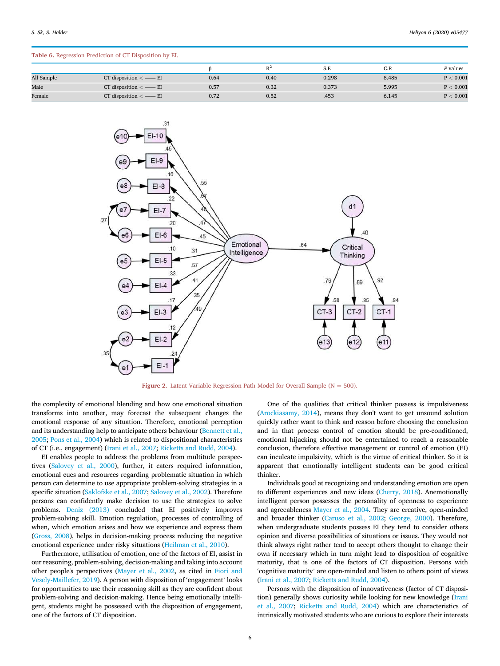|            |                           |      | $R^2$ | S.E   | C.R   | P values  |
|------------|---------------------------|------|-------|-------|-------|-----------|
| All Sample | CT disposition $\lt$ - EI | 0.64 | 0.40  | 0.298 | 8.485 | P < 0.001 |
| Male       | CT disposition $\lt$ - EI | 0.57 | 0.32  | 0.373 | 5.995 | P < 0.001 |
| Female     | CT disposition $\lt$ - EI | 0.72 | 0.52  | .453  | 6.145 | P < 0.001 |

# Table 6. Regression Prediction of CT Disposition by EI.



Figure 2. Latent Variable Regression Path Model for Overall Sample ( $N = 500$ ).

the complexity of emotional blending and how one emotional situation transforms into another, may forecast the subsequent changes the emotional response of any situation. Therefore, emotional perception and its understanding help to anticipate others behaviour (Bennett et al., 2005; Pons et al., 2004) which is related to dispositional characteristics of CT (i.e., engagement) (Irani et al., 2007; Ricketts and Rudd, 2004).

EI enables people to address the problems from multitude perspectives (Salovey et al., 2000), further, it caters required information, emotional cues and resources regarding problematic situation in which person can determine to use appropriate problem-solving strategies in a specific situation (Saklofske et al., 2007; Salovey et al., 2002). Therefore persons can confidently make decision to use the strategies to solve problems. Deniz (2013) concluded that EI positively improves problem-solving skill. Emotion regulation, processes of controlling of when, which emotion arises and how we experience and express them (Gross, 2008), helps in decision-making process reducing the negative emotional experience under risky situations (Heilman et al., 2010).

Furthermore, utilisation of emotion, one of the factors of EI, assist in our reasoning, problem-solving, decision-making and taking into account other people's perspectives (Mayer et al., 2002, as cited in Fiori and Vesely-Maillefer, 2019). A person with disposition of 'engagement' looks for opportunities to use their reasoning skill as they are confident about problem-solving and decision-making. Hence being emotionally intelligent, students might be possessed with the disposition of engagement, one of the factors of CT disposition.

One of the qualities that critical thinker possess is impulsiveness (Arockiasamy, 2014), means they don't want to get unsound solution quickly rather want to think and reason before choosing the conclusion and in that process control of emotion should be pre-conditioned, emotional hijacking should not be entertained to reach a reasonable conclusion, therefore effective management or control of emotion (EI) can inculcate impulsivity, which is the virtue of critical thinker. So it is apparent that emotionally intelligent students can be good critical thinker.

Individuals good at recognizing and understanding emotion are open to different experiences and new ideas (Cherry, 2018). Anemotionally intelligent person possesses the personality of openness to experience and agreeableness Mayer et al., 2004. They are creative, open-minded and broader thinker (Caruso et al., 2002; George, 2000). Therefore, when undergraduate students possess EI they tend to consider others opinion and diverse possibilities of situations or issues. They would not think always right rather tend to accept others thought to change their own if necessary which in turn might lead to disposition of cognitive maturity, that is one of the factors of CT disposition. Persons with 'cognitive maturity' are open-minded and listen to others point of views (Irani et al., 2007; Ricketts and Rudd, 2004).

Persons with the disposition of innovativeness (factor of CT disposition) generally shows curiosity while looking for new knowledge (Irani et al., 2007; Ricketts and Rudd, 2004) which are characteristics of intrinsically motivated students who are curious to explore their interests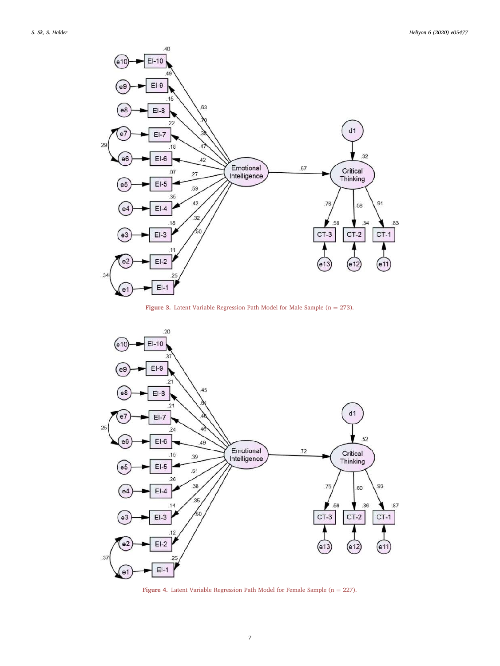





Figure 4. Latent Variable Regression Path Model for Female Sample ( $n = 227$ ).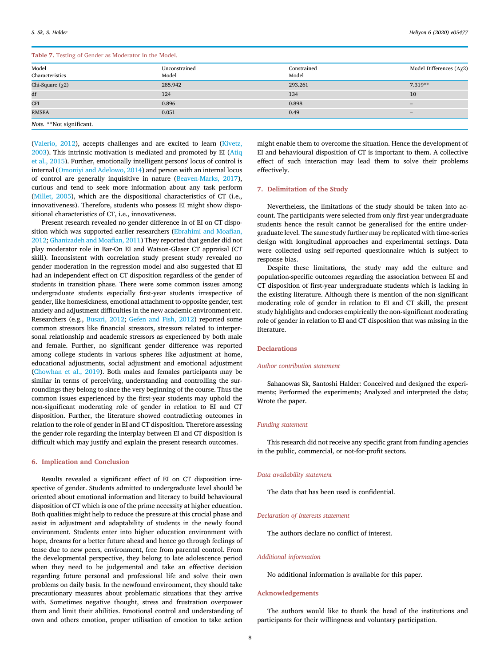Table 7. Testing of Gender as Moderator in the Model.

| Tuble 7: Testing of Senacr as moderator in the model. |                        |                      |                                      |
|-------------------------------------------------------|------------------------|----------------------|--------------------------------------|
| Model<br>Characteristics                              | Unconstrained<br>Model | Constrained<br>Model | Model Differences ( $\Delta \chi$ 2) |
| Chi-Square $(\chi 2)$                                 | 285.942                | 293.261              | $7.319**$                            |
| df                                                    | 124                    | 134                  | 10                                   |
| <b>CFI</b>                                            | 0.896                  | 0.898                | $\overline{\phantom{0}}$             |
| RMSEA                                                 | 0.051                  | 0.49                 | $\overline{\phantom{a}}$             |
| Note. **Not significant.                              |                        |                      |                                      |

(Valerio, 2012), accepts challenges and are excited to learn (Kivetz, 2003). This intrinsic motivation is mediated and promoted by EI (Atiq et al., 2015). Further, emotionally intelligent persons' locus of control is internal (Omoniyi and Adelowo, 2014) and person with an internal locus of control are generally inquisitive in nature (Beaven-Marks, 2017), curious and tend to seek more information about any task perform (Millet, 2005), which are the dispositional characteristics of CT (i.e., innovativeness). Therefore, students who possess EI might show dispositional characteristics of CT, i.e., innovativeness.

Present research revealed no gender difference in of EI on CT disposition which was supported earlier researchers (Ebrahimi and Moafian, 2012; Ghanizadeh and Moafian, 2011) They reported that gender did not play moderator role in Bar-On EI and Watson-Glaser CT appraisal (CT skill). Inconsistent with correlation study present study revealed no gender moderation in the regression model and also suggested that EI had an independent effect on CT disposition regardless of the gender of students in transition phase. There were some common issues among undergraduate students especially first-year students irrespective of gender, like homesickness, emotional attachment to opposite gender, test anxiety and adjustment difficulties in the new academic environment etc. Researchers (e.g., Busari, 2012; Gefen and Fish, 2012) reported some common stressors like financial stressors, stressors related to interpersonal relationship and academic stressors as experienced by both male and female. Further, no significant gender difference was reported among college students in various spheres like adjustment at home, educational adjustments, social adjustment and emotional adjustment (Chowhan et al., 2019). Both males and females participants may be similar in terms of perceiving, understanding and controlling the surroundings they belong to since the very beginning of the course. Thus the common issues experienced by the first-year students may uphold the non-significant moderating role of gender in relation to EI and CT disposition. Further, the literature showed contradicting outcomes in relation to the role of gender in EI and CT disposition. Therefore assessing the gender role regarding the interplay between EI and CT disposition is difficult which may justify and explain the present research outcomes.

# 6. Implication and Conclusion

Results revealed a significant effect of EI on CT disposition irrespective of gender. Students admitted to undergraduate level should be oriented about emotional information and literacy to build behavioural disposition of CT which is one of the prime necessity at higher education. Both qualities might help to reduce the pressure at this crucial phase and assist in adjustment and adaptability of students in the newly found environment. Students enter into higher education environment with hope, dreams for a better future ahead and hence go through feelings of tense due to new peers, environment, free from parental control. From the developmental perspective, they belong to late adolescence period when they need to be judgemental and take an effective decision regarding future personal and professional life and solve their own problems on daily basis. In the newfound environment, they should take precautionary measures about problematic situations that they arrive with. Sometimes negative thought, stress and frustration overpower them and limit their abilities. Emotional control and understanding of own and others emotion, proper utilisation of emotion to take action might enable them to overcome the situation. Hence the development of EI and behavioural disposition of CT is important to them. A collective effect of such interaction may lead them to solve their problems effectively.

## 7. Delimitation of the Study

Nevertheless, the limitations of the study should be taken into account. The participants were selected from only first-year undergraduate students hence the result cannot be generalised for the entire undergraduate level. The same study further may be replicated with time-series design with longitudinal approaches and experimental settings. Data were collected using self-reported questionnaire which is subject to response bias.

Despite these limitations, the study may add the culture and population-specific outcomes regarding the association between EI and CT disposition of first-year undergraduate students which is lacking in the existing literature. Although there is mention of the non-significant moderating role of gender in relation to EI and CT skill, the present study highlights and endorses empirically the non-significant moderating role of gender in relation to EI and CT disposition that was missing in the literature.

# **Declarations**

#### *Author contribution statement*

Sahanowas Sk, Santoshi Halder: Conceived and designed the experiments; Performed the experiments; Analyzed and interpreted the data; Wrote the paper.

# *Funding statement*

This research did not receive any specific grant from funding agencies in the public, commercial, or not-for-profit sectors.

#### *Data availability statement*

The data that has been used is confidential.

## *Declaration of interests statement*

The authors declare no conflict of interest.

#### *Additional information*

No additional information is available for this paper.

## Acknowledgements

The authors would like to thank the head of the institutions and participants for their willingness and voluntary participation.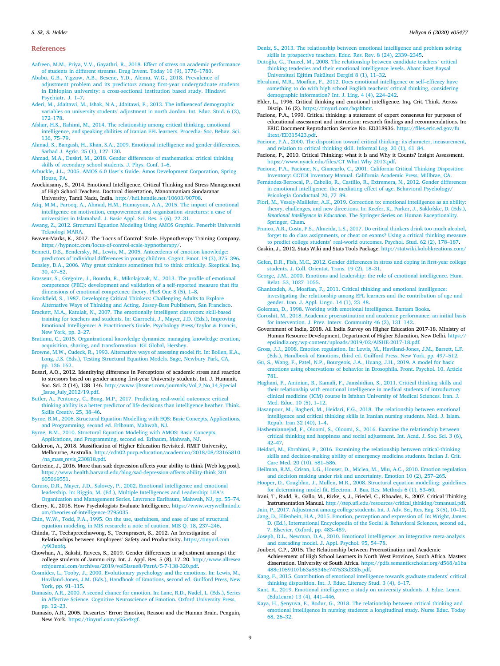#### References

- Aafreen, M.M., Priya, V.V., Gayathri, R., 2018. Effect of stress on academic performance of students in different streams. Drug Invent. Today 10 (9), 1776–1780.
- Ababu, G.B., Yigzaw, A.B., Besene, Y.D., Alemu, W.G., 2018. Prevalence of adjustment problem and its predictors among first-year undergraduate students in Ethiopian university: a cross-sectional institution based study. Hindawi Psychiatr. J. 1–7.
- Aderi, M., Jdaitawi, M., Ishak, N.A., Jdaitawi, F., 2013. The influenceof demographic variables on university students' adjustment in north Jordan. Int. Educ. Stud. 6 (2), 172–178.
- Afshar, H.S., Rahimi, M., 2014. The relationship among critical thinking, emotional intelligence, and speaking sbilities of Iranian EFL learners. Procedia- Soc. Behav. Sci. 136, 75–79.
- Ahmad, S., Bangash, H., Khan, S.A., 2009. Emotional intelligence and gender differences. Sarhad J. Agric. 25 (1), 127–130.
- Ahmad, M.A., Duskri, M., 2018. Gender differences of mathematical critical thinking skills of secondary school students. J. Phys. Conf. 1–6.
- Arbuckle, J.L., 2005. AMOS 6.0 User's Guide. Amos Development Corporation, Spring House, PA.
- Arockiasamy, S., 2014. Emotional Intelligence, Critical Thinking and Stress Management of High School Teachers. Doctoral dissertation, Manonmaniam Sundaranar University, Tamil Nadu, India. http://hdl.handle.net/10603/90708.
- Atiq, M.M., Farooq, A., Ahmad, H.M., Humayoun, A.A., 2015. The impact of emotional intelligence on motivation, empowerment and organization structures: a case of universities in Islamabad. J. Basic Appl. Sci. Res. 5 (6), 22–31.
- Awang, Z., 2012. Structural Equation Modeling Using AMOS Graphic. Penerbit Universiti Teknologi MARA.
- Beaven-Marks, K., 2017. The 'Locus of Control' Scale. Hypnotherapy Training Company. https://hypnotc.com/locus-of-control-scale-hypnotherapy/.
- Bennett, D.S., Bendersky, M., Lewis, M., 2005. Antecedents of emotion knowledge: predictors of individual differences in young children. Cognit. Emot. 19 (3), 375–396.
- Bensley, D.A., 2006. Why great thinkers sometimes fail to think critically. Skeptical Inq. 30, 47–52.
- Brasseur, S., Gregoire, J., Bourdu, R., Mikolajczak, M., 2013. The profile of emotional competence (PEC): development and validation of a self-reported measure that fits dimensions of emotional competence theory. PloS One 8 (5), 1–8.
- Brookfield, S., 1987. Developing Critical Thinkers: Challenging Adults to Explore Alternative Ways of Thinking and Acting. Jossey-Bass Publishers, San Francisco.
- Brackett, M.A., Katulak, N., 2007. The emotionally intelligent classroom: skill-based training for teachers and students. In: Ciarrochi, J., Mayer, J.D. (Eds.), Improving Emotional Intelligence: A Practitioner's Guide. Psychology Press/Taylor & Francis, New York, pp. 2–27.
- Bratianu, C., 2015. Organizational knowledge dynamics: managing knowledge creation, acquisition, sharing, and transformation. IGI Global, Hershey.
- Browne, M.W., Cudeck, R., 1993. Alternative ways of assessing model fit. In: Bollen, K.A., Long, J.S. (Eds.), Testing Structural Equation Models. Sage, Newbury Park, CA, pp. 136–162.
- Busari, A.O., 2012. Identifying difference in Perceptions of academic stress and reaction to stressors based on gender among first-year University students. Int. J. Humanit. Soc. Sci. 2 (14), 138–146. http://www.ijhssnet.com/journals/Vol\_2\_No\_14\_Special \_Issue\_July\_2012/19.pdf.
- Butler, A., Pentoney, C., Bong, M.P., 2017. Predicting real-world outcomes: critical thinking ability is a better predictor of life decisions than intelligence heather. Think. Skills Creativ. 25, 38–46.
- Byrne, B.M., 2006. Structural Equation Modelling with EQS: Basic Concepts, Applications, and Programming, second ed. Erlbaum, Mahwah, NJ.
- Byrne, B.M., 2010. Structural Equation Modeling with AMOS: Basic Concepts, Applications, and Programming, second ed. Erlbaum, Mahwah, NJ.
- Calderon, A., 2018. Massification of Higher Education Revisited. RMIT University, Melbourne, Australia. http://cdn02.pucp.education/academico/2018/08/23165810 /na\_mass\_revis\_230818.pdf.
- Cartreine, J., 2016. More than sad: depression affects your ability to think [Web log post]. https://www.health.harvard.edu/blog/sad-depression-affects-ability-think\_201 605069551.
- Caruso, D.R., Mayer, J.D., Salovey, P., 2002. Emotional intelligence and emotional leadership. In: Riggio, M. (Ed.), Multiple Intelligences and Leadership: LEA's Organization and Management Series. Lawrence Earlbaum, Mahwah, NJ, pp. 55–74.
- Cherry, K., 2018. How Psychologists Evaluate Intelligence. https://www.verywellmind.c om/theories-of-intelligence-2795035.
- Chin, W.W., Todd, P.A., 1995. On the use, usefulness, and ease of use of structural equation modeling in MIS research: a note of caution. MIS Q. 18, 237–246.
- Chinda, T., Techapreechawong, S., Teeraprasert, S., 2012. An Investigation of Relationships between Employees' Safety and Productivity. https://tinyurl.com /y9l3uofq.
- Chowhan, A., Sakshi, Ravees, S., 2019. Gender differences in adjustment amongst the college students of Jammu city. Int. J. Appl. Res. 5 (8), 17–20. http://www.allresea rchjournal.com/archives/2019/vol5issue8/PartA/5-7-138-320.pdf.
- Cosmides, L., Tooby, J., 2000. Evolutionary psychology and the emotions. In: Lewis, M., Haviland-Jones, J.M. (Eds.), Handbook of Emotions, second ed. Guilford Press, New York, pp. 91–115.
- Damasio, A.R., 2000. A second chance for emotion. In: Lane, R.D., Nadel, L. (Eds.), Series in Affective Science. Cognitive Neuroscience of Emotion. Oxford University Press, pp. 12–23.
- Damasio, A.R., 2005. Descartes' Error: Emotion, Reason and the Human Brain. Penguin, New York. https://tinyurl.com/y55o4xgf.

Deniz, S., 2013. The relationship between emotional intelligence and problem solving skills in prospective teachers. Educ. Res. Rev. 8 (24), 2339–2345.

- Dutoğlu, G., Tuncel, M., 2008. The relationship between candidate teachers' critical thinking tendecies and their emotional intelligence levels. Abant Izzet Baysal Üniversitesi Eğitim Fakültesi Dergisi 8 (1), 11-32.
- Ebrahimi, M.R., Moafian, F., 2012. Does emotional intelligence or self–efficacy have something to do with high school English teachers' critical thinking, considering demographic information? Int. J. Ling. 4 (4), 224–242.
- Elder, L., 1996. Critical thinking and emotional intelligence. Inq. Crit. Think. Across Discip. 16 (2). https://tinyurl.com/bqahbmt.
- Facione, P.A., 1990. Critical thinking: a statement of expert consensus for purposes of educational assessment and instruction: research findings and recommendations. In: ERIC Document Reproduction Service No. ED318936. https://files.eric.ed.gov/fu lltext/ED315423.pdf.
- Facione, P.A., 2000. The disposition toward critical thinking: its character, measurement, and relation to critical thinking skill. Informal Log. 20 (1), 61–84.
- Facione, P., 2010. Critical Thinking: what it Is and Why it Counts? Insight Assessment. https://www.nyack.edu/files/CT\_What\_Why\_2013.pdf.
- Facione, P.A., Facione, N., Giancarlo, C., 2001. California Critical Thinking Disposition Inventory: CCTDI Inventory Manual. California Academic Press, Millbrae, CA.
- Fernandez-Berrocal, P., Cabello, R., Castillo, R., Extremera, N., 2012. Gender differences in emotional intelligence: the mediating effect of age. Behavioral Psychology/ Psicología Conductual 20, 77–89.
- Fiori, M., Vesely-Maillefer, A.K., 2019. Correction to: emotional intelligence as an ability: theory, challenges, and new directions. In: Keefer, K., Parker, J., Saklofske, D. (Eds.), *Emotional Intelligence in Education*. The Springer Series on Human Exceptionality. Springer, Cham.
- Franco, A.R., Costa, P.S., Almeida, L.S., 2017. Do critical thinkers drink too much alcohol, forget to do class assignments, or cheat on exams? Using a critical thinking measure to predict college students' real-world outcomes. Psychol. Stud. 62 (2), 178–187.
- Gaskin, J., 2012. Stats Wiki and Stats Tools Package. http://statwiki.kolobkreations.com/
- . Gefen, D.R., Fish, M.C., 2012. Gender differences in stress and coping in first-year college students. J. Coll. Orientat. Trans. 19 (2), 18–31.
- George, J.M., 2000. Emotions and leadership: the role of emotional intelligence. Hum. Relat. 53, 1027–1055.
- Ghanizadeh, A., Moafian, F., 2011. Critical thinking and emotional intelligence: investigating the relationship among EFL learners and the contribution of age and gender. Iran. J. Appl. Lingu. 14 (1), 23–48.
- Goleman, D., 1998. Working with emotional intelligence. Bantam Books.
- Goroshit, M., 2018. Academic procrastination and academic performance: an initial basis for intervention. J. Prev. Interv. Community 46 (2), 131–142.
- Government of India, 2018. All India Survey on Higher Education 2017-18. Ministry of Human Resource Development, Department of Higher Education, New Delhi. https:// epsiindia.org/wp-content/uploads/2019/02/AISHE-2017-18.pdf.
- Gross, J.J., 2008. Emotion regulation. In: Lewis, M., Haviland-Jones, J.M., Barrett, L.F. (Eds.), Handbook of Emotions, third ed. Guilford Press, New York, pp. 497–512.
- Gu, S., Wang, F., Patel, N.P., Bourgeois, J.A., Huang, J.H., 2019. A model for basic emotions using observations of behavior in Drosophila. Front. Psychol. 10. Article 781.
- Haghani, F., Aminian, B., Kamali, F., Jamshidian, S., 2011. Critical thinking skills and their relationship with emotional intelligence in medical students of introductory clinical medicine (ICM) course in Isfahan University of Medical Sciences. Iran. J. Med. Educ. 10 (5), 1–12.
- Hasanpour, M., Bagheri, M., Heidari, F.G., 2018. The relationship between emotional intelligence and critical thinking skills in Iranian nursing students. Med. J. Islam. Repub. Iran 32 (40), 1–4.
- Hashemiannejad, F., Oloomi, S., Oloomi, S., 2016. Examine the relationship between critical thinking and happiness and social adjustment. Int. Acad. J. Soc. Sci. 3 (6), 42–47.
- Heidari, M., Ebrahimi, P., 2016. Examining the relationship between critical-thinking skills and decision-making ability of emergency medicine students. Indian J. Crit. Care Med. 20 (10), 581–586.
- Heilman, R.M., Crisan, L.G., Houser, D., Miclea, M., Miu, A.C., 2010. Emotion regulation and decision making under risk and uncertainty. Emotion 10 (2), 257–265.
- Hooper, D., Coughlan, J., Mullen, M.R., 2008. Structural equation modelling: guidelines for determining model fit. Electron. J. Bus. Res. Methods 6 (1), 53–60.

Irani, T., Rudd, R., Gallo, M., Ricke\_ s, J., Friedel, C., Rhoades, E., 2007. Critical Thinking Instrumentation Manual. http://step.ufl.edu/resources/critical\_thinking/ctmanual.pdf.

- 7. Elsevier, Oxford, pp. 483–489. Joseph, D.L., Newman, D.A., 2010. Emotional intelligence: an integrative meta-analysis and cascading model. J. Appl. Psychol. 95, 54–78.
- Joubert, C.P., 2015. The Relationship between Procrastination and Academic
- Achievement of High School Learners in North West Province, South Africa. Masters dissertation. University of South Africa. https://pdfs.semanticscholar.org/d568/a1ba 488c1059107b63a88346c747533d33f6.pdf.
- Kang, F., 2015. Contribution of emotional intelligence towards graduate students' critical thinking disposition. Int. J. Educ. Literacy Stud. 3 (4), 6–17.
- Kant, R., 2019. Emotional intelligence: a study on university students. J. Educ. Learn. (EduLearn) 13 (4), 441–446.
- Kaya, H., Şenyuva, E., Bodur, G., 2018. The relationship between critical thinking and emotional intelligence in nursing students: a longitudinal study. Nurse Educ. Today 68, 26–32.

Jain, P., 2017. Adjustment among college students. Int. J. Adv. Sci, Res. Eng. 3 (5), 10–12. Jang, D., Elfenbein, H.A., 2015. Emotion, perception and expression of. In: Wright, James D. (Ed.), International Encyclopedia of the Social & Behavioral Sciences, second ed.,